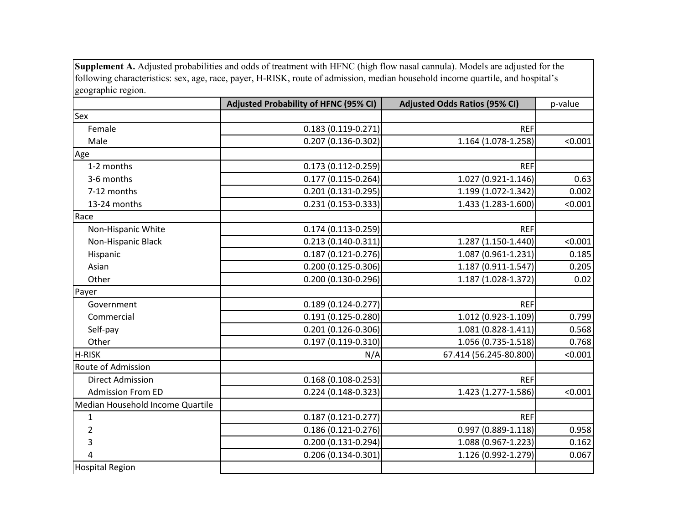**Supplement A.** Adjusted probabilities and odds of treatment with HFNC (high flow nasal cannula). Models are adjusted for the following characteristics: sex, age, race, payer, H-RISK, route of admission, median household income quartile, and hospital's geographic region.

|                                  | <b>Adjusted Probability of HFNC (95% CI)</b> | <b>Adjusted Odds Ratios (95% CI)</b> | p-value |
|----------------------------------|----------------------------------------------|--------------------------------------|---------|
| Sex                              |                                              |                                      |         |
| Female                           | $0.183(0.119 - 0.271)$                       | <b>REF</b>                           |         |
| Male                             | 0.207 (0.136-0.302)                          | 1.164 (1.078-1.258)                  | < 0.001 |
| Age                              |                                              |                                      |         |
| 1-2 months                       | 0.173 (0.112-0.259)                          | <b>REF</b>                           |         |
| 3-6 months                       | $0.177(0.115 - 0.264)$                       | 1.027 (0.921-1.146)                  | 0.63    |
| 7-12 months                      | $0.201(0.131 - 0.295)$                       | 1.199 (1.072-1.342)                  | 0.002   |
| 13-24 months                     | 0.231 (0.153-0.333)                          | 1.433 (1.283-1.600)                  | < 0.001 |
| Race                             |                                              |                                      |         |
| Non-Hispanic White               | $0.174(0.113 - 0.259)$                       | <b>REF</b>                           |         |
| Non-Hispanic Black               | 0.213 (0.140-0.311)                          | 1.287 (1.150-1.440)                  | < 0.001 |
| Hispanic                         | $0.187(0.121 - 0.276)$                       | 1.087 (0.961-1.231)                  | 0.185   |
| Asian                            | 0.200 (0.125-0.306)                          | 1.187 (0.911-1.547)                  | 0.205   |
| Other                            | 0.200 (0.130-0.296)                          | 1.187 (1.028-1.372)                  | 0.02    |
| Payer                            |                                              |                                      |         |
| Government                       | $0.189(0.124 - 0.277)$                       | <b>REF</b>                           |         |
| Commercial                       | 0.191 (0.125-0.280)                          | 1.012 (0.923-1.109)                  | 0.799   |
| Self-pay                         | $0.201(0.126 - 0.306)$                       | 1.081 (0.828-1.411)                  | 0.568   |
| Other                            | 0.197 (0.119-0.310)                          | 1.056 (0.735-1.518)                  | 0.768   |
| H-RISK                           | N/A                                          | 67.414 (56.245-80.800)               | < 0.001 |
| Route of Admission               |                                              |                                      |         |
| <b>Direct Admission</b>          | $0.168(0.108 - 0.253)$                       | <b>REF</b>                           |         |
| <b>Admission From ED</b>         | 0.224 (0.148-0.323)                          | 1.423 (1.277-1.586)                  | < 0.001 |
| Median Household Income Quartile |                                              |                                      |         |
| $\mathbf{1}$                     | $0.187(0.121 - 0.277)$                       | <b>REF</b>                           |         |
| 2                                | 0.186 (0.121-0.276)                          | $0.997(0.889 - 1.118)$               | 0.958   |
| 3                                | 0.200 (0.131-0.294)                          | 1.088 (0.967-1.223)                  | 0.162   |
| 4                                | $0.206(0.134 - 0.301)$                       | 1.126 (0.992-1.279)                  | 0.067   |
| <b>Hospital Region</b>           |                                              |                                      |         |